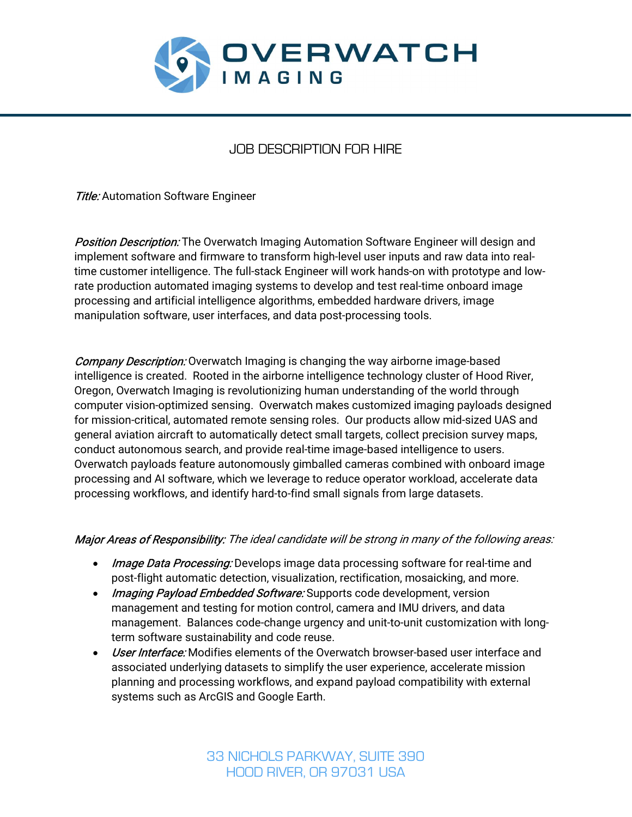

# JOB DESCRIPTION FOR HIRE

**Title:** Automation Software Engineer

**Position Description:** The Overwatch Imaging Automation Software Engineer will design and implement software and firmware to transform high-level user inputs and raw data into realtime customer intelligence. The full-stack Engineer will work hands-on with prototype and lowrate production automated imaging systems to develop and test real-time onboard image processing and artificial intelligence algorithms, embedded hardware drivers, image manipulation software, user interfaces, and data post-processing tools.

**Company Description:** Overwatch Imaging is changing the way airborne image-based intelligence is created. Rooted in the airborne intelligence technology cluster of Hood River, Oregon, Overwatch Imaging is revolutionizing human understanding of the world through computer vision-optimized sensing. Overwatch makes customized imaging payloads designed for mission-critical, automated remote sensing roles. Our products allow mid-sized UAS and general aviation aircraft to automatically detect small targets, collect precision survey maps, conduct autonomous search, and provide real-time image-based intelligence to users. Overwatch payloads feature autonomously gimballed cameras combined with onboard image processing and AI software, which we leverage to reduce operator workload, accelerate data processing workflows, and identify hard-to-find small signals from large datasets.

# Major Areas of Responsibility: The ideal candidate will be strong in many of the following areas:

- **Image Data Processing:** Develops image data processing software for real-time and post-flight automatic detection, visualization, rectification, mosaicking, and more.
- *Imaging Payload Embedded Software:* Supports code development, version management and testing for motion control, camera and IMU drivers, and data management. Balances code-change urgency and unit-to-unit customization with longterm software sustainability and code reuse.
- *User Interface:* Modifies elements of the Overwatch browser-based user interface and associated underlying datasets to simplify the user experience, accelerate mission planning and processing workflows, and expand payload compatibility with external systems such as ArcGIS and Google Earth.

33 NICHOLS PARKWAY, SUITE 390 HOOD RIVER, OR 97031 USA